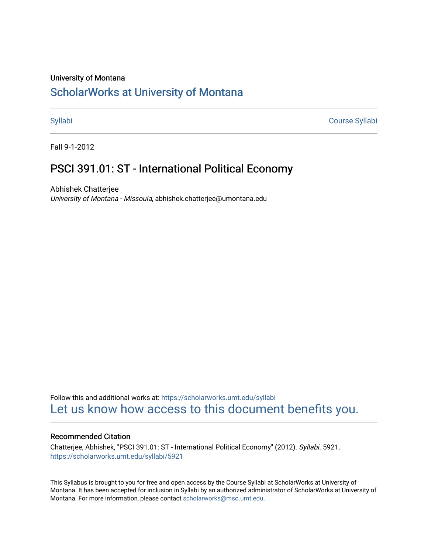#### University of Montana

# [ScholarWorks at University of Montana](https://scholarworks.umt.edu/)

[Syllabi](https://scholarworks.umt.edu/syllabi) [Course Syllabi](https://scholarworks.umt.edu/course_syllabi) 

Fall 9-1-2012

# PSCI 391.01: ST - International Political Economy

Abhishek Chatterjee University of Montana - Missoula, abhishek.chatterjee@umontana.edu

Follow this and additional works at: [https://scholarworks.umt.edu/syllabi](https://scholarworks.umt.edu/syllabi?utm_source=scholarworks.umt.edu%2Fsyllabi%2F5921&utm_medium=PDF&utm_campaign=PDFCoverPages)  [Let us know how access to this document benefits you.](https://goo.gl/forms/s2rGfXOLzz71qgsB2) 

#### Recommended Citation

Chatterjee, Abhishek, "PSCI 391.01: ST - International Political Economy" (2012). Syllabi. 5921. [https://scholarworks.umt.edu/syllabi/5921](https://scholarworks.umt.edu/syllabi/5921?utm_source=scholarworks.umt.edu%2Fsyllabi%2F5921&utm_medium=PDF&utm_campaign=PDFCoverPages)

This Syllabus is brought to you for free and open access by the Course Syllabi at ScholarWorks at University of Montana. It has been accepted for inclusion in Syllabi by an authorized administrator of ScholarWorks at University of Montana. For more information, please contact [scholarworks@mso.umt.edu.](mailto:scholarworks@mso.umt.edu)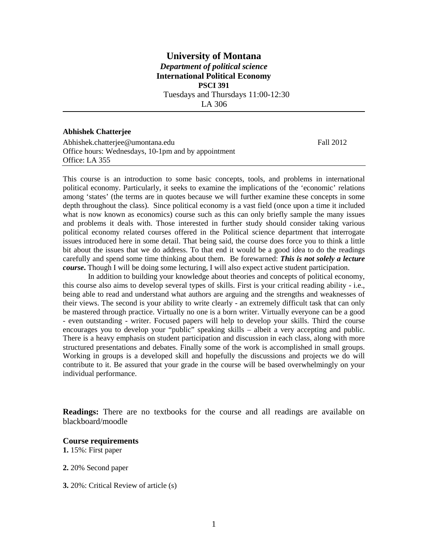# **University of Montana** *Department of political science* **International Political Economy PSCI 391** Tuesdays and Thursdays 11:00-12:30 LA 306

**Abhishek Chatterjee** 

Abhishek.chatterjee@umontana.edu Fall 2012 Office hours: Wednesdays, 10-1pm and by appointment Office: LA 355

This course is an introduction to some basic concepts, tools, and problems in international political economy. Particularly, it seeks to examine the implications of the 'economic' relations among 'states' (the terms are in quotes because we will further examine these concepts in some depth throughout the class). Since political economy is a vast field (once upon a time it included what is now known as economics) course such as this can only briefly sample the many issues and problems it deals with. Those interested in further study should consider taking various political economy related courses offered in the Political science department that interrogate issues introduced here in some detail. That being said, the course does force you to think a little bit about the issues that we do address. To that end it would be a good idea to do the readings carefully and spend some time thinking about them. Be forewarned: *This is not solely a lecture course***.** Though I will be doing some lecturing, I will also expect active student participation.

In addition to building your knowledge about theories and concepts of political economy, this course also aims to develop several types of skills. First is your critical reading ability - i.e., being able to read and understand what authors are arguing and the strengths and weaknesses of their views. The second is your ability to write clearly - an extremely difficult task that can only be mastered through practice. Virtually no one is a born writer. Virtually everyone can be a good - even outstanding - writer. Focused papers will help to develop your skills. Third the course encourages you to develop your "public" speaking skills – albeit a very accepting and public. There is a heavy emphasis on student participation and discussion in each class, along with more structured presentations and debates. Finally some of the work is accomplished in small groups. Working in groups is a developed skill and hopefully the discussions and projects we do will contribute to it. Be assured that your grade in the course will be based overwhelmingly on your individual performance.

**Readings:** There are no textbooks for the course and all readings are available on blackboard/moodle

#### **Course requirements**

**1.** 15%: First paper

**2.** 20% Second paper

**3.** 20%: Critical Review of article (s)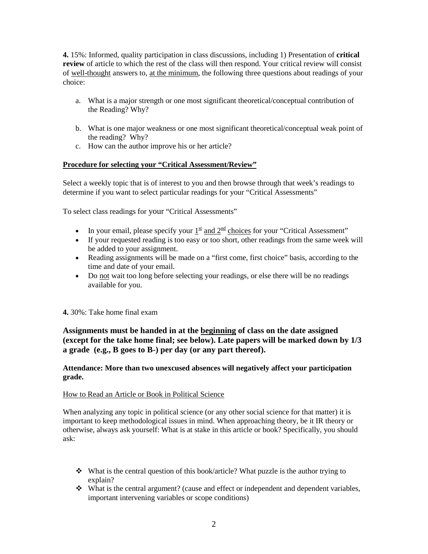**4.** 15%: Informed, quality participation in class discussions, including 1) Presentation of **critical review** of article to which the rest of the class will then respond. Your critical review will consist of well-thought answers to, at the minimum, the following three questions about readings of your choice:

- a. What is a major strength or one most significant theoretical/conceptual contribution of the Reading? Why?
- b. What is one major weakness or one most significant theoretical/conceptual weak point of the reading? Why?
- c. How can the author improve his or her article?

### **Procedure for selecting your "Critical Assessment/Review"**

Select a weekly topic that is of interest to you and then browse through that week's readings to determine if you want to select particular readings for your "Critical Assessments"

To select class readings for your "Critical Assessments"

- In your email, please specify your  $1^{\underline{\text{st}}}$  and  $2^{\underline{\text{nd}}}$  choices for your "Critical Assessment"
- If your requested reading is too easy or too short, other readings from the same week will be added to your assignment.
- Reading assignments will be made on a "first come, first choice" basis, according to the time and date of your email.
- Do not wait too long before selecting your readings, or else there will be no readings available for you.

### **4.** 30%: Take home final exam

# **Assignments must be handed in at the beginning of class on the date assigned (except for the take home final; see below). Late papers will be marked down by 1/3 a grade (e.g., B goes to B-) per day (or any part thereof).**

#### **Attendance: More than two unexcused absences will negatively affect your participation grade.**

#### How to Read an Article or Book in Political Science

When analyzing any topic in political science (or any other social science for that matter) it is important to keep methodological issues in mind. When approaching theory, be it IR theory or otherwise, always ask yourself: What is at stake in this article or book? Specifically, you should ask:

- $\bullet$  What is the central question of this book/article? What puzzle is the author trying to explain?
- What is the central argument? (cause and effect or independent and dependent variables, important intervening variables or scope conditions)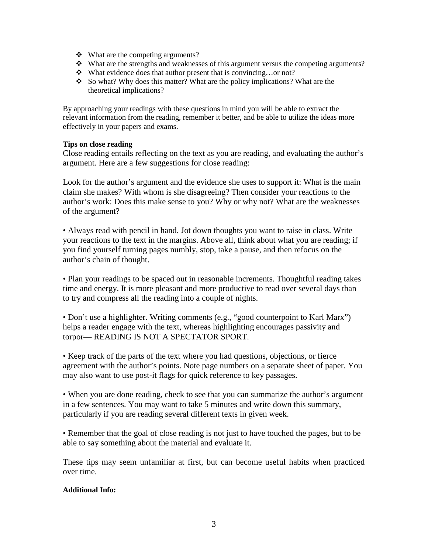- What are the competing arguments?
- $\cdot \cdot$  What are the strengths and weaknesses of this argument versus the competing arguments?
- What evidence does that author present that is convincing…or not?
- So what? Why does this matter? What are the policy implications? What are the theoretical implications?

By approaching your readings with these questions in mind you will be able to extract the relevant information from the reading, remember it better, and be able to utilize the ideas more effectively in your papers and exams.

#### **Tips on close reading**

Close reading entails reflecting on the text as you are reading, and evaluating the author's argument. Here are a few suggestions for close reading:

Look for the author's argument and the evidence she uses to support it: What is the main claim she makes? With whom is she disagreeing? Then consider your reactions to the author's work: Does this make sense to you? Why or why not? What are the weaknesses of the argument?

• Always read with pencil in hand. Jot down thoughts you want to raise in class. Write your reactions to the text in the margins. Above all, think about what you are reading; if you find yourself turning pages numbly, stop, take a pause, and then refocus on the author's chain of thought.

• Plan your readings to be spaced out in reasonable increments. Thoughtful reading takes time and energy. It is more pleasant and more productive to read over several days than to try and compress all the reading into a couple of nights.

• Don't use a highlighter. Writing comments (e.g., "good counterpoint to Karl Marx") helps a reader engage with the text, whereas highlighting encourages passivity and torpor— READING IS NOT A SPECTATOR SPORT.

• Keep track of the parts of the text where you had questions, objections, or fierce agreement with the author's points. Note page numbers on a separate sheet of paper. You may also want to use post-it flags for quick reference to key passages.

• When you are done reading, check to see that you can summarize the author's argument in a few sentences. You may want to take 5 minutes and write down this summary, particularly if you are reading several different texts in given week.

• Remember that the goal of close reading is not just to have touched the pages, but to be able to say something about the material and evaluate it.

These tips may seem unfamiliar at first, but can become useful habits when practiced over time.

### **Additional Info:**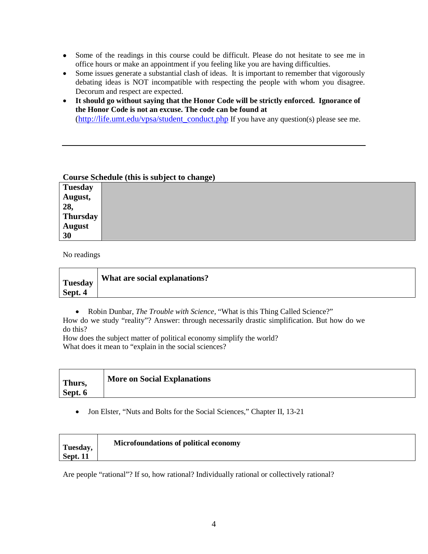- Some of the readings in this course could be difficult. Please do not hesitate to see me in office hours or make an appointment if you feeling like you are having difficulties.
- Some issues generate a substantial clash of ideas. It is important to remember that vigorously debating ideas is NOT incompatible with respecting the people with whom you disagree. Decorum and respect are expected.
- **It should go without saying that the Honor Code will be strictly enforced. Ignorance of the Honor Code is not an excuse. The code can be found at**  [\(http://life.umt.edu/vpsa/student\\_conduct.php](http://life.umt.edu/vpsa/student_conduct.php) If you have any question(s) please see me.

#### **Course Schedule (this is subject to change)**

| <b>Tuesday</b>  |  |
|-----------------|--|
| August,         |  |
| 28,             |  |
| <b>Thursday</b> |  |
| <b>August</b>   |  |
| 30              |  |

No readings

| <b>Tuesday</b> | What are social explanations? |
|----------------|-------------------------------|
| Sept. 4        |                               |

• Robin Dunbar, *The Trouble with Science,* "What is this Thing Called Science?"

How do we study "reality"? Answer: through necessarily drastic simplification. But how do we do this?

How does the subject matter of political economy simplify the world? What does it mean to "explain in the social sciences?

| Thurs,  | <b>More on Social Explanations</b> |
|---------|------------------------------------|
| Sept. 6 |                                    |

• Jon Elster, "Nuts and Bolts for the Social Sciences," Chapter II, 13-21

| Tuesday,        | Microfoundations of political economy |
|-----------------|---------------------------------------|
| <b>Sept. 11</b> |                                       |

Are people "rational"? If so, how rational? Individually rational or collectively rational?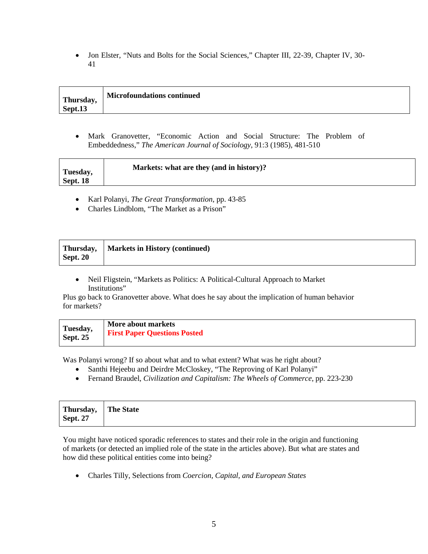• Jon Elster, "Nuts and Bolts for the Social Sciences," Chapter III, 22-39, Chapter IV, 30-41

| Thursday, | <b>Microfoundations continued</b> |
|-----------|-----------------------------------|
| Sept.13   |                                   |

• Mark Granovetter, "Economic Action and Social Structure: The Problem of Embeddedness," *The American Journal of Sociology*, 91:3 (1985), 481-510

- Karl Polanyi, *The Great Transformation*, pp. 43-85
- Charles Lindblom, "The Market as a Prison"

|                 | Thursday,   Markets in History (continued) |
|-----------------|--------------------------------------------|
| <b>Sept. 20</b> |                                            |

• Neil Fligstein, "Markets as Politics: A Political-Cultural Approach to Market Institutions"

Plus go back to Granovetter above. What does he say about the implication of human behavior for markets?

| Tuesday,   | More about markets                  |
|------------|-------------------------------------|
| Sept. $25$ | <b>First Paper Questions Posted</b> |

Was Polanyi wrong? If so about what and to what extent? What was he right about?

- Santhi Hejeebu and Deirdre McCloskey, "The Reproving of Karl Polanyi"
- Fernand Braudel, *Civilization and Capitalism: The Wheels of Commerce*, pp. 223-230

| Thursday, The State |  |
|---------------------|--|
| <b>Sept. 27</b>     |  |

You might have noticed sporadic references to states and their role in the origin and functioning of markets (or detected an implied role of the state in the articles above). But what are states and how did these political entities come into being?

• Charles Tilly, Selections from *Coercion, Capital, and European States*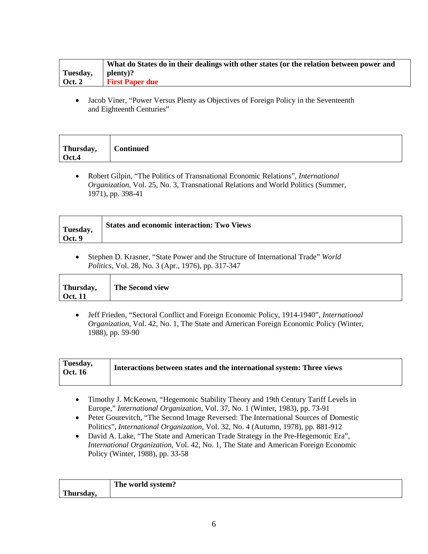|               | What do States do in their dealings with other states (or the relation between power and |
|---------------|------------------------------------------------------------------------------------------|
| Tuesday,      | plenty)?                                                                                 |
| <b>Oct. 2</b> | <b>First Paper due</b>                                                                   |

• Jacob Viner, "Power Versus Plenty as Objectives of Foreign Policy in the Seventeenth and Eighteenth Centuries"

| Thursday,<br>Oct.4 |
|--------------------|
|--------------------|

• Robert Gilpin, "The Politics of Transnational Economic Relations", *International Organization*, Vol. 25, No. 3, Transnational Relations and World Politics (Summer, 1971), pp. 398-41

| Tuesday, | <b>States and economic interaction: Two Views</b> |
|----------|---------------------------------------------------|
| Oct. 9   |                                                   |

• Stephen D. Krasner, "State Power and the Structure of International Trade" *World Politics*, Vol. 28, No. 3 (Apr., 1976), pp. 317-347

| Thursday,<br>The Second view<br>Oct. 11 |
|-----------------------------------------|
|-----------------------------------------|

• Jeff Frieden, "Sectoral Conflict and Foreign Economic Policy, 1914-1940", *International Organization*, Vol. 42, No. 1, The State and American Foreign Economic Policy (Winter, 1988), pp. 59-90

| Tuesday,<br>  Oct. 16 | Interactions between states and the international system: Three views |
|-----------------------|-----------------------------------------------------------------------|
|-----------------------|-----------------------------------------------------------------------|

- Timothy J. McKeown, "Hegemonic Stability Theory and 19th Century Tariff Levels in Europe," *International Organization*, Vol. 37, No. 1 (Winter, 1983), pp. 73-91
- Peter Gourevitch, "The Second Image Reversed: The International Sources of Domestic Politics", *International Organization*, Vol. 32, No. 4 (Autumn, 1978), pp. 881-912
- David A. Lake, "The State and American Trade Strategy in the Pre-Hegemonic Era", *International Organization*, Vol. 42, No. 1, The State and American Foreign Economic Policy (Winter, 1988), pp. 33-58

|                 | The world system? |
|-----------------|-------------------|
| m.<br>Thursuay. |                   |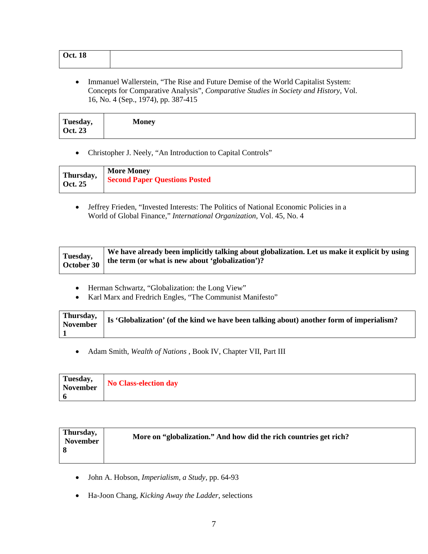| <b>Oct. 18</b> |  |
|----------------|--|
|                |  |

• Immanuel Wallerstein, "The Rise and Future Demise of the World Capitalist System: Concepts for Comparative Analysis", *Comparative Studies in Society and History*, Vol. 16, No. 4 (Sep., 1974), pp. 387-415

| Tuesday,<br>Oct. 23 |
|---------------------|
|---------------------|

• Christopher J. Neely, "An Introduction to Capital Controls"

| Thursday,      | <b>More Money</b>                    |
|----------------|--------------------------------------|
| <b>Oct. 25</b> | <b>Second Paper Questions Posted</b> |

• Jeffrey Frieden, "Invested Interests: The Politics of National Economic Policies in a World of Global Finance," *International Organization*, Vol. 45, No. 4

- Herman Schwartz, "Globalization: the Long View"
- Karl Marx and Fredrich Engles, "The Communist Manifesto"

| Thursday, Is 'Globalization' (of the kind we have been talking about) another form of imperialism? |
|----------------------------------------------------------------------------------------------------|
|                                                                                                    |

• Adam Smith, *Wealth of Nations* , Book IV, Chapter VII, Part III

| Tuesday, | No Class-election day |
|----------|-----------------------|
| November |                       |
|          |                       |

| Thursday,<br><b>November</b> | More on "globalization." And how did the rich countries get rich? |
|------------------------------|-------------------------------------------------------------------|
|                              |                                                                   |

- John A. Hobson, *Imperialism, a Study*, pp. 64-93
- Ha-Joon Chang, *Kicking Away the Ladder*, selections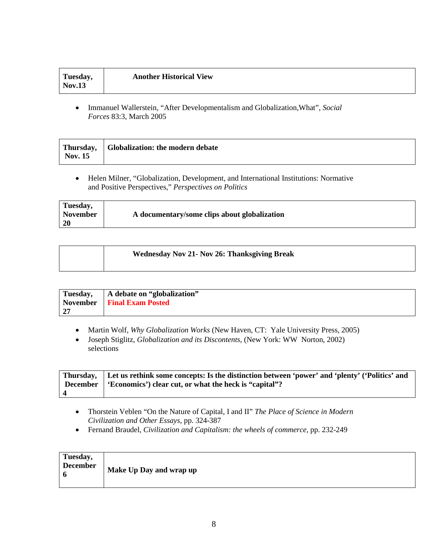• Immanuel Wallerstein, "After Developmentalism and Globalization,What", *Social Forces* 83:3, March 2005

| <b>Nov. 15</b> | Thursday, Globalization: the modern debate |
|----------------|--------------------------------------------|
|----------------|--------------------------------------------|

• Helen Milner, "Globalization, Development, and International Institutions: Normative and Positive Perspectives," *Perspectives on Politics*

| Tuesday, |                                              |
|----------|----------------------------------------------|
| November | A documentary/some clips about globalization |
| -20      |                                              |

| <b>Wednesday Nov 21- Nov 26: Thanksgiving Break</b> |
|-----------------------------------------------------|
|                                                     |

| Tuesday, | A debate on "globalization"  |
|----------|------------------------------|
|          | November   Final Exam Posted |
| 27       |                              |

- Martin Wolf, *Why Globalization Works* (New Haven, CT: Yale University Press, 2005)
- Joseph Stiglitz, *Globalization and its Discontents*, (New York: WW Norton, 2002) selections

| Thursday, Let us rethink some concepts: Is the distinction between 'power' and 'plenty' ('Politics' and |
|---------------------------------------------------------------------------------------------------------|
| December $\mid$ 'Economics') clear cut, or what the heck is "capital"?                                  |
|                                                                                                         |

- Thorstein Veblen "On the Nature of Capital, I and II" *The Place of Science in Modern Civilization and Other Essays*, pp. 324-387
- Fernand Braudel, *Civilization and Capitalism: the wheels of commerce*, pp. 232-249

| Tuesday,<br><b>December</b><br>6 | Make Up Day and wrap up |
|----------------------------------|-------------------------|
|----------------------------------|-------------------------|